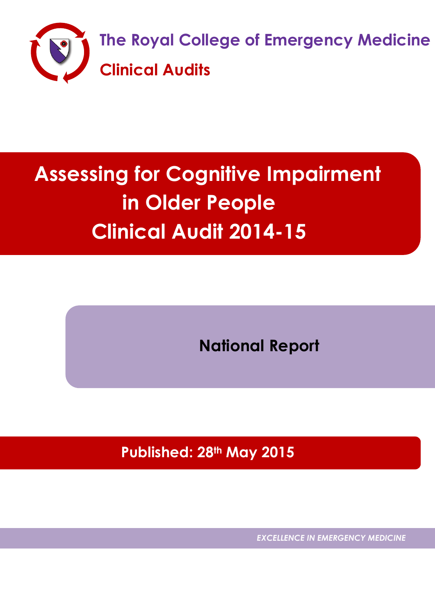

# **Assessing for Cognitive Impairment in Older People Clinical Audit 2014-15**

**National Report**

 **Published: 28th May 2015**

*EXCELLENCE IN EMERGENCY MEDICINE*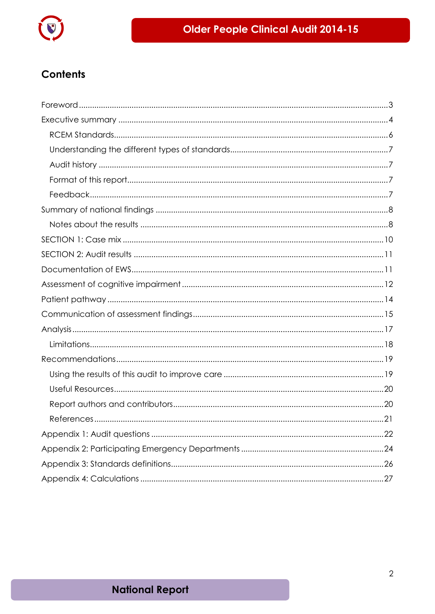

### **Contents**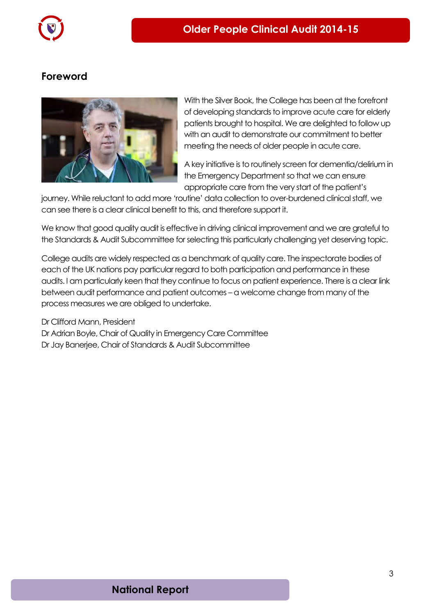

### <span id="page-2-0"></span>**Foreword**



With the Silver Book, the College has been at the forefront of developing standards to improve acute care for elderly patients brought to hospital. We are delighted to follow up with an audit to demonstrate our commitment to better meeting the needs of older people in acute care.

A key initiative is to routinely screen for dementia/delirium in the Emergency Department so that we can ensure appropriate care from the very start of the patient's

journey. While reluctant to add more 'routine' data collection to over-burdened clinical staff, we can see there is a clear clinical benefit to this, and therefore support it.

We know that good quality audit is effective in driving clinical improvement and we are grateful to the Standards & Audit Subcommittee for selecting this particularly challenging yet deserving topic.

College audits are widely respected as a benchmark of quality care. The inspectorate bodies of each of the UK nations pay particular regard to both participation and performance in these audits. I am particularly keen that they continue to focus on patient experience. There is a clear link between audit performance and patient outcomes – a welcome change from many of the process measures we are obliged to undertake.

Dr Clifford Mann, President Dr Adrian Boyle, Chair of Quality in Emergency Care Committee Dr Jay Banerjee, Chair of Standards & Audit Subcommittee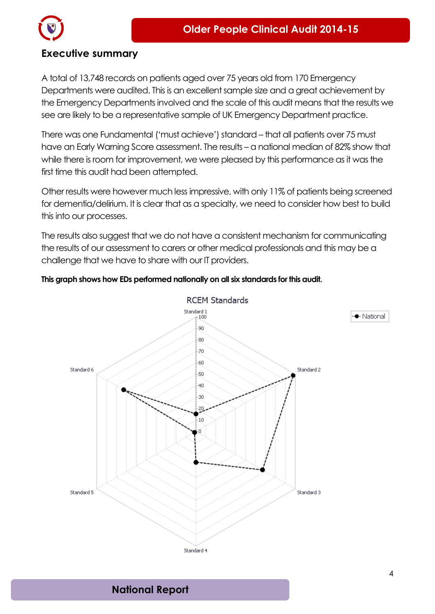

### <span id="page-3-0"></span>**Executive summary**

A total of 13,748 records on patients aged over 75 years old from 170 Emergency Departments were audited. This is an excellent sample size and a great achievement by the Emergency Departments involved and the scale of this audit means that the results we see are likely to be a representative sample of UK Emergency Department practice.

There was one Fundamental ('must achieve') standard – that all patients over 75 must have an Early Warning Score assessment. The results – a national median of 82% show that while there is room for improvement, we were pleased by this performance as it was the first time this audit had been attempted.

Other results were however much less impressive, with only 11% of patients being screened for dementia/delirium. It is clear that as a specialty, we need to consider how best to build this into our processes.

The results also suggest that we do not have a consistent mechanism for communicating the results of our assessment to carers or other medical professionals and this may be a challenge that we have to share with our IT providers.

### **This graph shows how EDs performed nationally on all six standards for this audit.**

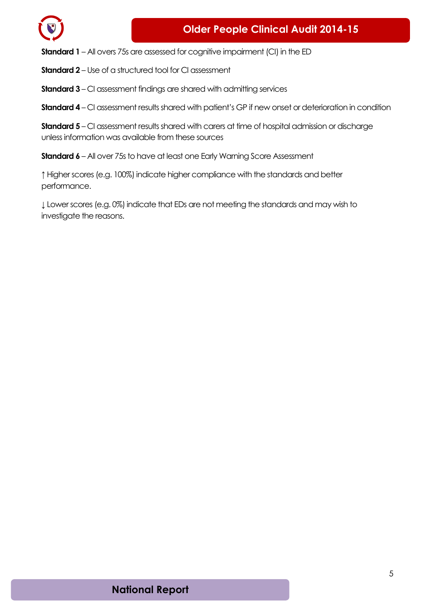

**Standard 1** – All overs 75s are assessed for cognitive impairment (CI) in the ED

**Standard 2** – Use of a structured tool for CI assessment

**Standard 3** – CI assessment findings are shared with admitting services

**Standard 4** – CI assessment results shared with patient's GP if new onset or deterioration in condition

**Standard 5** – CI assessment results shared with carers at time of hospital admission or discharge unless information was available from these sources

**Standard 6** – All over 75s to have at least one Early Warning Score Assessment

**↑** Higher scores (e.g. 100%) indicate higher compliance with the standards and better performance.

**↓** Lower scores (e.g. 0%) indicate that EDs are not meeting the standards and may wish to investigate the reasons.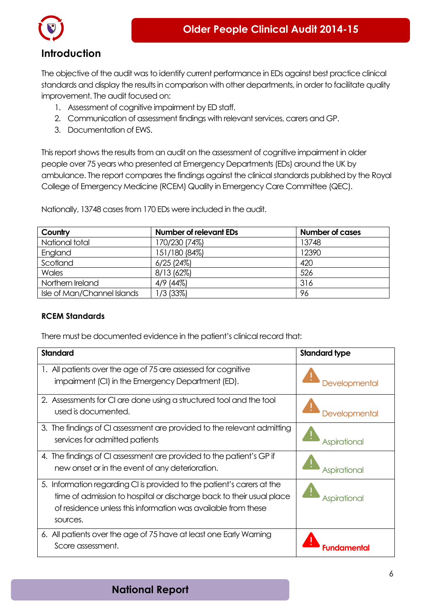



### **Introduction**

The objective of the audit was to identify current performance in EDs against best practice clinical standards and display the results in comparison with other departments, in order to facilitate quality improvement. The audit focused on:

- 1. Assessment of cognitive impairment by ED staff.
- 2. Communication of assessment findings with relevant services, carers and GP.
- 3. Documentation of EWS.

This report shows the results from an audit on the assessment of cognitive impairment in older people over 75 years who presented at Emergency Departments (EDs) around the UK by ambulance. The report compares the findings against the clinical standards published by the Royal College of Emergency Medicine (RCEM) Quality in Emergency Care Committee (QEC).

| Country                     | <b>Number of relevant EDs</b> | <b>Number of cases</b> |
|-----------------------------|-------------------------------|------------------------|
| National total              | 170/230 (74%)                 | 13748                  |
| England                     | 151/180 (84%)                 | 12390                  |
| Scotland                    | $6/25$ (24%)                  | 420                    |
| Wales                       | 8/13 (62%)                    | 526                    |
| Northern Ireland            | $4/9$ (44%)                   | 316                    |
| Isle of Man/Channel Islands | 1/3 (33%)                     | 96                     |

Nationally, 13748 cases from 170 EDs were included in the audit.

### <span id="page-5-0"></span>**RCEM Standards**

There must be documented evidence in the patient's clinical record that:

| <b>Standard</b>                                                                                                                                                                                                             | <b>Standard type</b> |
|-----------------------------------------------------------------------------------------------------------------------------------------------------------------------------------------------------------------------------|----------------------|
| 1. All patients over the age of 75 are assessed for cognitive<br>impairment (CI) in the Emergency Department (ED).                                                                                                          | <b>Developmental</b> |
| 2. Assessments for CI are done using a structured tool and the tool<br>used is documented.                                                                                                                                  | Developmental        |
| 3. The findings of CI assessment are provided to the relevant admitting<br>services for admitted patients                                                                                                                   | Aspirational         |
| 4. The findings of CI assessment are provided to the patient's GP if<br>new onset or in the event of any deterioration.                                                                                                     | Aspirational         |
| 5. Information regarding CI is provided to the patient's carers at the<br>time of admission to hospital or discharge back to their usual place<br>of residence unless this information was available from these<br>sources. | <b>Aspirational</b>  |
| 6. All patients over the age of 75 have at least one Early Warning<br>Score assessment.                                                                                                                                     |                      |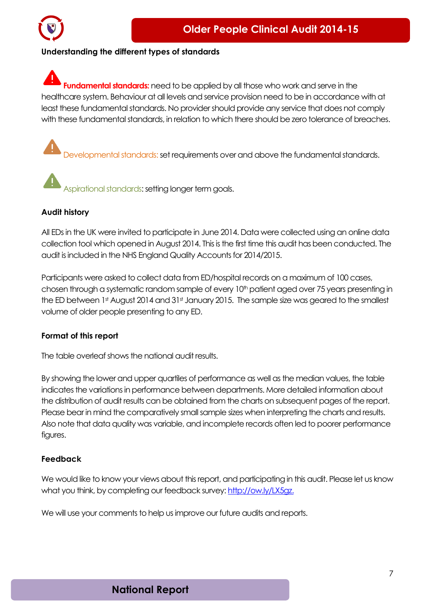

### <span id="page-6-0"></span>**Understanding the different types of standards**

**Fundamental standards:** need to be applied by all those who work and serve in the healthcare system. Behaviour at all levels and service provision need to be in accordance with at least these fundamental standards. No provider should provide any service that does not comply with these fundamental standards, in relation to which there should be zero tolerance of breaches.

Developmental standards: set requirements over and above the fundamental standards.

Aspirational standards: setting longer term goals.

### <span id="page-6-1"></span>**Audit history**

All EDs in the UK were invited to participate in June 2014. Data were collected using an online data collection tool which opened in August 2014. This is the first time this audit has been conducted. The audit is included in the NHS England Quality Accountsfor 2014/2015.

Participants were asked to collect data from ED/hospital records on a maximum of 100 cases, chosen through a systematic random sample of every 10<sup>th</sup> patient aged over 75 years presenting in the ED between 1st August 2014 and 31st January 2015. The sample size was geared to the smallest volume of older people presenting to any ED.

#### <span id="page-6-2"></span>**Format of this report**

The table overleaf shows the national audit results.

By showing the lower and upper quartiles of performance as well as the median values, the table indicates the variations in performance between departments. More detailed information about the distribution of audit results can be obtained from the charts on subsequent pages of the report. Please bear in mind the comparatively small sample sizes when interpreting the charts and results. Also note that data quality was variable, and incomplete records often led to poorer performance figures.

### <span id="page-6-3"></span>**Feedback**

We would like to know your views about this report, and participating in this audit. Please let us know what you think, by completing our feedback survey: [http://ow.ly/LX5gz.](http://ow.ly/LX5gz)

We will use your comments to help us improve our future audits and reports.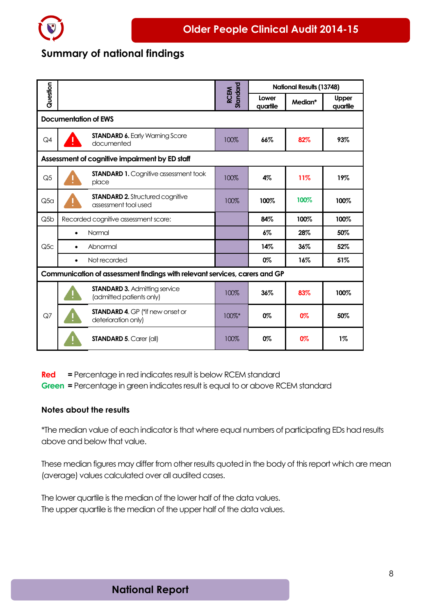

### <span id="page-7-0"></span>**Summary of national findings**

|                  |                                                                            | RCEM<br>Standard |                   | <b>National Results (13748)</b> |                          |
|------------------|----------------------------------------------------------------------------|------------------|-------------------|---------------------------------|--------------------------|
|                  | Question                                                                   |                  | Lower<br>quartile | Median*                         | <b>Upper</b><br>quartile |
|                  | Documentation of EWS                                                       |                  |                   |                                 |                          |
| Q4               | <b>STANDARD 6. Early Warning Score</b><br>documented                       | 100%             | 66%               | 82%                             | 93%                      |
|                  | Assessment of cognitive impairment by ED staff                             |                  |                   |                                 |                          |
| Q <sub>5</sub>   | <b>STANDARD 1.</b> Cognitive assessment took<br>place                      | 100%             | 4%                | 11%                             | 19%                      |
| Q5 <sub>G</sub>  | <b>STANDARD 2.</b> Structured cognitive<br>assessment tool used            | 100%             | 100%              | 100%                            | 100%                     |
| Q <sub>5</sub> b | Recorded cognitive assessment score:                                       |                  | 84%               | 100%                            | 100%                     |
|                  | Normal<br>$\bullet$                                                        |                  | 6%                | 28%                             | 50%                      |
| Q5C              | Abnormal<br>$\bullet$                                                      |                  | 14%               | 36%                             | 52%                      |
|                  | Not recorded<br>$\bullet$                                                  |                  | 0%                | 16%                             | 51%                      |
|                  | Communication of assessment findings with relevant services, carers and GP |                  |                   |                                 |                          |
|                  | <b>STANDARD 3. Admitting service</b><br>(admitted patients only)           | 100%             | 36%               | 83%                             | 100%                     |
| Q7               | <b>STANDARD 4. GP (*if new onset or</b><br>deterioration only)             | 100%*            | 0%                | 0%                              | 50%                      |
|                  | <b>STANDARD 5. Carer (all)</b>                                             | 100%             | 0%                | 0%                              | $1\%$                    |

**Red =** Percentage in red indicates result is below RCEM standard

**Green =** Percentage in green indicates result is equal to or above RCEM standard

### <span id="page-7-1"></span>**Notes about the results**

\*The median value of each indicator is that where equal numbers of participating EDs had results above and below that value.

These median figures may differ from other results quoted in the body of this report which are mean (average) values calculated over all audited cases.

The lower quartile is the median of the lower half of the data values. The upper quartile is the median of the upper half of the data values.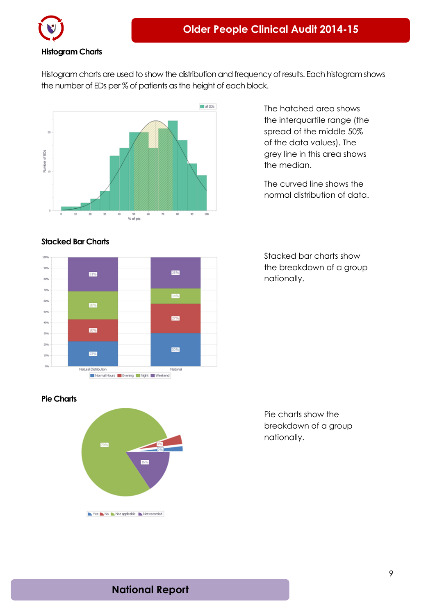

### **Histogram Charts**

Histogram charts are used to show the distribution and frequency of results. Each histogram shows the number of EDs per % of patients as the height of each block.



The hatched area shows the interquartile range (the spread of the middle 50% of the data values). The grey line in this area shows the median.

The curved line shows the normal distribution of data.



Stacked bar charts show the breakdown of a group nationally.

### **Pie Charts**



Pie charts show the breakdown of a group nationally.

**Stacked Bar Charts**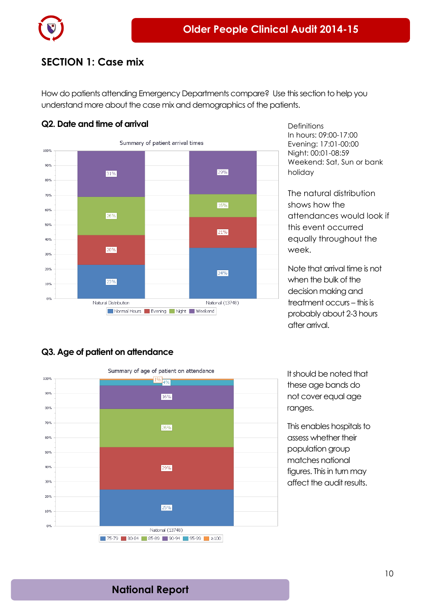

### <span id="page-9-0"></span>**SECTION 1: Case mix**

How do patients attending Emergency Departments compare? Use this section to help you understand more about the case mix and demographics of the patients.

### **Q2. Date and time of arrival**



**Definitions** In hours: 09:00-17:00 Evening: 17:01-00:00 Night: 00:01-08:59 Weekend: Sat, Sun or bank holiday

The natural distribution shows how the attendances would look if this event occurred equally throughout the week.

Note that arrival time is not when the bulk of the decision making and treatment occurs – this is probably about 2-3 hours after arrival.

### **Q3. Age of patient on attendance**



It should be noted that these age bands do not cover equal age ranges.

This enables hospitals to assess whether their population group matches national figures. This in turn may affect the audit results.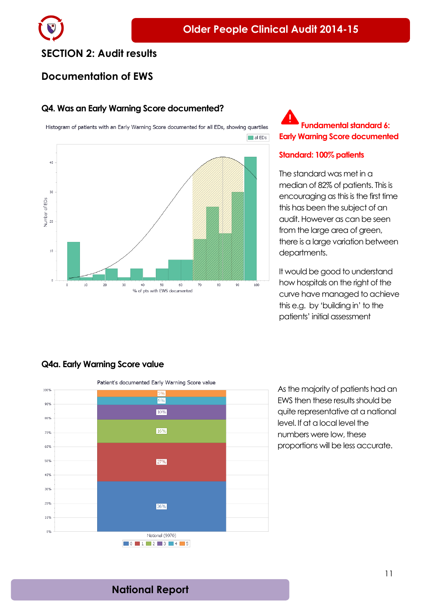### <span id="page-10-0"></span>**SECTION 2: Audit results**

### <span id="page-10-1"></span>**Documentation of EWS**

### **Q4. Was an Early Warning Score documented?**

Histogram of patients with an Early Warning Score documented for all EDs, showing quartiles



### **Fundamental standard 6: Early Warning Score documented**

#### **Standard: 100% patients**

The standard was met in a median of 82% of patients. This is encouraging as this is the first time this has been the subject of an audit. However as can be seen from the large area of green, there is a large variation between departments.

It would be good to understand how hospitals on the right of the curve have managed to achieve this e.g. by 'building in' to the patients' initial assessment

### **Q4a. Early Warning Score value**



As the majority of patients had an EWS then these results should be quite representative at a national level. If at a local level the numbers were low, these proportions will be less accurate.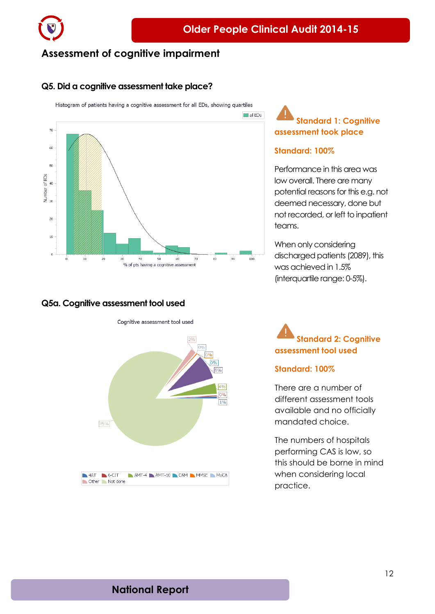

### <span id="page-11-0"></span>**Assessment of cognitive impairment**

#### **Q5. Did a cognitive assessment take place?**

Histogram of patients having a cognitive assessment for all EDs, showing quartiles



### **Q5a. Cognitive assessment tool used**





### **Standard 1: Cognitive assessment took place**

#### **Standard: 100%**

Performance in this area was low overall. There are many potential reasons for this e.g. not deemed necessary, done but not recorded, or left to inpatient teams.

When only considering discharged patients (2089), this was achieved in 1.5% (interquartile range: 0-5%).

**Standard 2: Cognitive assessment tool used**

#### **Standard: 100%**

There are a number of different assessment tools available and no officially mandated choice.

The numbers of hospitals performing CAS is low, so this should be borne in mind when considering local practice.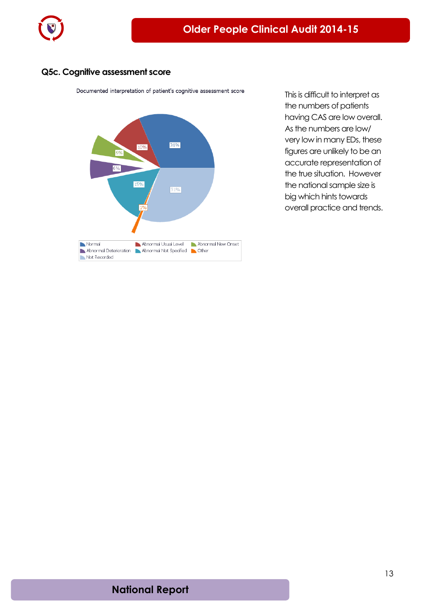

### **Q5c. Cognitive assessment score**

Documented interpretation of patient's cognitive assessment score



This is difficult to interpret as the numbers of patients having CAS are low overall. As the numbers are low/ very low in many EDs, these figures are unlikely to be an accurate representation of the true situation. However the national sample size is big which hints towards overall practice and trends.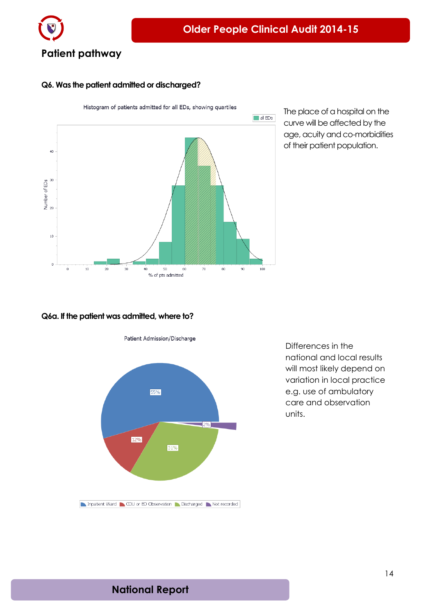

### <span id="page-13-0"></span>**Q6. Was the patient admitted or discharged?**



The place of a hospital on the curve will be affected by the age, acuity and co-morbidities of their patient population.

#### **Q6a. If the patient was admitted, where to?**





Differences in the national and local results will most likely depend on variation in local practice e.g. use of ambulatory care and observation units.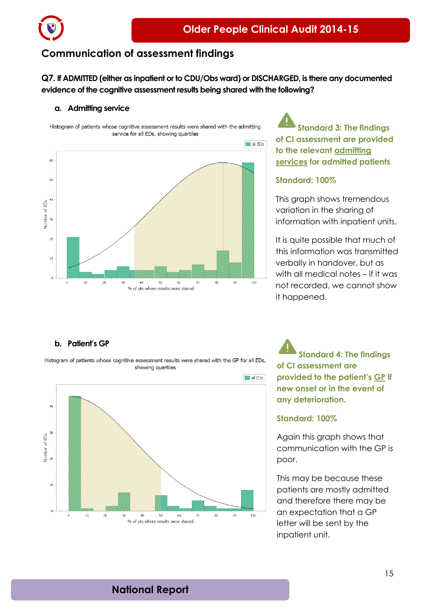

### <span id="page-14-0"></span>**Communication of assessment findings**

**Q7. If ADMITTED (either as inpatient or to CDU/Obs ward) or DISCHARGED, is there any documented evidence of the cognitive assessment results being shared with the following?**

#### **a. Admitting service**

Histogram of patients whose cognitive assessment results were shared with the admitting service for all EDs, showing quartiles



**Standard 3: The findings of CI assessment are provided to the relevant admitting services for admitted patients**

### **Standard: 100%**

This graph shows tremendous variation in the sharing of information with inpatient units.

It is quite possible that much of this information was transmitted verbally in handover, but as with all medical notes – if it was not recorded, we cannot show it happened.

#### **b. Patient's GP**

Histogram of patients whose cognitive assessment results were shared with the GP for all EDs, showing quartiles



**Standard 4: The findings of CI assessment are provided to the patient's GP if new onset or in the event of any deterioration.**

#### **Standard: 100%**

Again this graph shows that communication with the GP is poor.

This may be because these patients are mostly admitted and therefore there may be an expectation that a GP letter will be sent by the inpatient unit.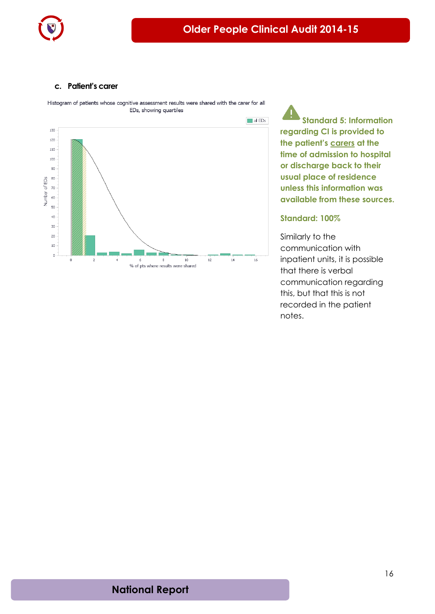

#### **c. Patient's carer**

Histogram of patients whose cognitive assessment results were shared with the carer for all EDs, showing quartiles



**Standard 5: Information regarding CI is provided to the patient's carers at the time of admission to hospital or discharge back to their usual place of residence unless this information was available from these sources.**

#### **Standard: 100%**

Similarly to the communication with inpatient units, it is possible that there is verbal communication regarding this, but that this is not recorded in the patient notes.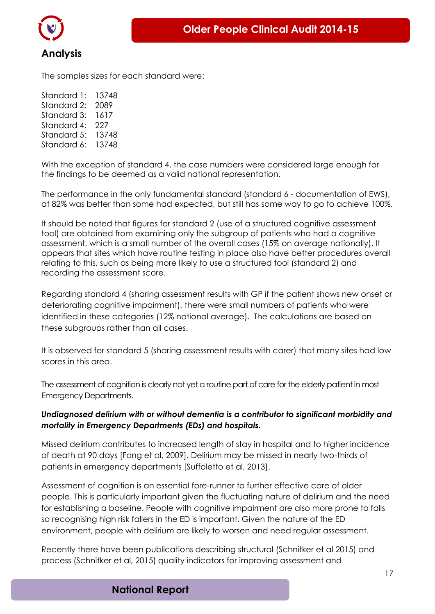

<span id="page-16-0"></span>The samples sizes for each standard were:

Standard 1: 13748 Standard 2: 2089 Standard 3: 1617 Standard 4: 227 Standard 5: 13748 Standard 6: 13748

With the exception of standard 4, the case numbers were considered large enough for the findings to be deemed as a valid national representation.

The performance in the only fundamental standard (standard 6 - documentation of EWS), at 82% was better than some had expected, but still has some way to go to achieve 100%.

It should be noted that figures for standard 2 (use of a structured cognitive assessment tool) are obtained from examining only the subgroup of patients who had a cognitive assessment, which is a small number of the overall cases (15% on average nationally). It appears that sites which have routine testing in place also have better procedures overall relating to this, such as being more likely to use a structured tool (standard 2) and recording the assessment score.

Regarding standard 4 (sharing assessment results with GP if the patient shows new onset or deteriorating cognitive impairment), there were small numbers of patients who were identified in these categories (12% national average). The calculations are based on these subgroups rather than all cases.

It is observed for standard 5 (sharing assessment results with carer) that many sites had low scores in this area.

The assessment of cognition is clearly not yet a routine part of care for the elderly patient in most Emergency Departments.

### *Undiagnosed delirium with or without dementia is a contributor to significant morbidity and mortality in Emergency Departments (EDs) and hospitals.*

Missed delirium contributes to increased length of stay in hospital and to higher incidence of death at 90 days [Fong et al, 2009]. Delirium may be missed in nearly two-thirds of patients in emergency departments [Suffoletto et al, 2013].

Assessment of cognition is an essential fore-runner to further effective care of older people. This is particularly important given the fluctuating nature of delirium and the need for establishing a baseline. People with cognitive impairment are also more prone to falls so recognising high risk fallers in the ED is important. Given the nature of the ED environment, people with delirium are likely to worsen and need regular assessment.

Recently there have been publications describing structural (Schnitker et al 2015) and process (Schnitker et al, 2015) quality indicators for improving assessment and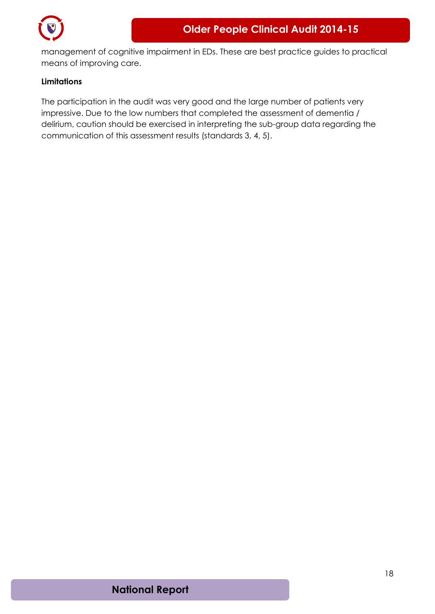

management of cognitive impairment in EDs. These are best practice guides to practical means of improving care.

### <span id="page-17-0"></span>**Limitations**

The participation in the audit was very good and the large number of patients very impressive. Due to the low numbers that completed the assessment of dementia / delirium, caution should be exercised in interpreting the sub-group data regarding the communication of this assessment results (standards 3, 4, 5).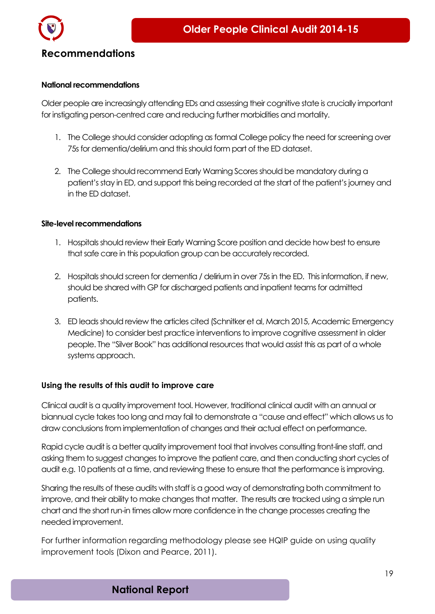

### <span id="page-18-0"></span>**National recommendations**

Older people are increasingly attending EDs and assessing their cognitive state is crucially important for instigating person-centred care and reducing further morbidities and mortality.

- 1. The College should consider adopting as formal College policy the need for screening over 75s for dementia/delirium and this should form part of the ED dataset.
- 2. The College should recommend Early Warning Scores should be mandatory during a patient's stay in ED, and support this being recorded at the start of the patient's journey and in the ED dataset.

### **Site-level recommendations**

- 1. Hospitals should review their Early Warning Score position and decide how best to ensure that safe care in this population group can be accurately recorded.
- 2. Hospitals should screen for dementia / delirium in over 75s in the ED. This information, if new, should be shared with GP for discharged patients and inpatient teams for admitted patients.
- 3. ED leads should review the articles cited (Schnitker et al, March 2015, Academic Emergency Medicine) to consider best practice interventions to improve cognitive assessment in older people. The "Silver Book" has additional resources that would assist this as part of a whole systems approach.

### <span id="page-18-1"></span>**Using the results of this audit to improve care**

Clinical audit is a quality improvement tool. However, traditional clinical audit with an annual or biannual cycle takes too long and may fail to demonstrate a "cause and effect" which allows us to draw conclusions from implementation of changes and their actual effect on performance.

Rapid cycle audit is a better quality improvement tool that involves consulting front-line staff, and asking them to suggest changes to improve the patient care, and then conducting short cycles of audit e.g. 10 patients at a time, and reviewing these to ensure that the performance is improving.

Sharing the results of these audits with staff is a good way of demonstrating both commitment to improve, and their ability to make changes that matter. The results are tracked using a simple run chart and the short run-in times allow more confidence in the change processes creating the needed improvement.

For further information regarding methodology please see HQIP guide on using quality improvement tools (Dixon and Pearce, 2011).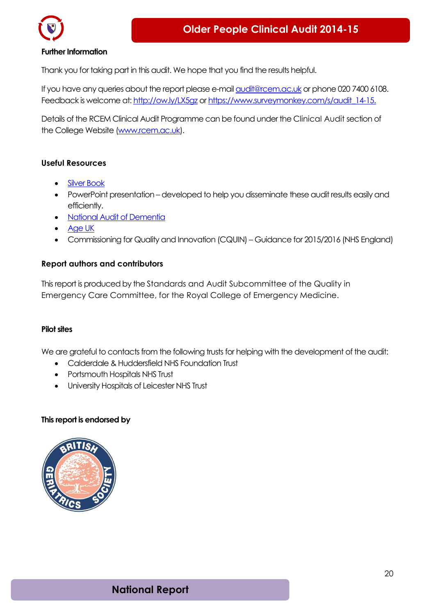

#### **Further Information**

Thank you for taking part in this audit. We hope that you find the results helpful.

If you have any queries about the report please e-mai[l audit@rcem.ac.uk](mailto:audit@rcem.ac.uk) or phone 020 7400 6108. Feedback is welcome at[: http://ow.ly/LX5gz](http://ow.ly/LX5gz) or [https://www.surveymonkey.com/s/audit\\_14-15.](https://www.surveymonkey.com/s/audit_14-15)

Details of the RCEM Clinical Audit Programme can be found under th[e Clinical Audit](http://www.collemergencymed.ac.uk/Shop-Floor/Clinical%20Audit) section of the College Website [\(www.rcem.ac.uk\)](http://www.rcem.ac.uk/).

#### <span id="page-19-0"></span>**Useful Resources**

- [Silver Book](http://www.bgs.org.uk/index.php/bgscampaigns-715/silverbook)
- PowerPoint presentation developed to help you disseminate these audit results easily and efficiently.
- [National Audit of Dementia](http://www.rcpsych.ac.uk/workinpsychiatry/qualityimprovement/nationalclinicalaudits/dementia/nationalauditofdementia.aspx)
- [Age UK](http://www.ageuk.org.uk/)
- Commissioning for Quality and Innovation (CQUIN) Guidance for 2015/2016 (NHS England)

#### <span id="page-19-1"></span>**Report authors and contributors**

This report is produced by the [Standards and Audit Subcommittee](http://www.collemergencymed.ac.uk/College/College%20Structure/Committees/Quality%20in%20Emergency%20Care%20Committee/QEC%20Standards%20and%20Audit) of the [Quality in](http://www.collemergencymed.ac.uk/College/College%20Structure/Committees/Quality%20in%20Emergency%20Care%20Committee/QEC%20Standards%20and%20Audit)  [Emergency Care Committee,](http://www.collemergencymed.ac.uk/College/College%20Structure/Committees/Quality%20in%20Emergency%20Care%20Committee/QEC%20Standards%20and%20Audit) for the [Royal College of Emergency Medicine.](http://www.collemergencymed.ac.uk/)

#### **Pilot sites**

We are grateful to contacts from the following trusts for helping with the development of the audit:

- Calderdale & Huddersfield NHS Foundation Trust
- Portsmouth Hospitals NHS Trust
- University Hospitals of Leicester NHS Trust

#### **This report is endorsed by**

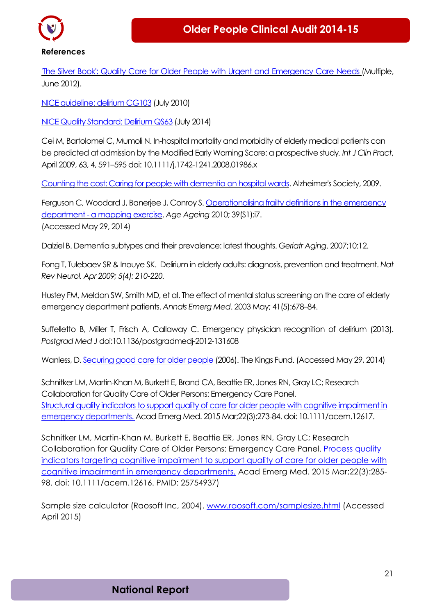

<span id="page-20-0"></span>**References**

'The Silver Book': Quality Care for Older People with Urgent and [Emergency](http://secure.collemergencymed.ac.uk/code/document.asp?id=6440) Care Needs (Multiple, June 2012).

NICE [guideline:](http://guidance.nice.org.uk/cg103/niceguidance/pdf/english) delirium CG103 (July 2010)

NICE Quality [Standard:](http://www.nice.org.uk/guidance/QS63) Delirium QS63 (July 2014)

Cei M, Bartolomei C, Mumoli N. In-hospital mortality and morbidity of elderly medical patients can be predicted at admission by the Modified Early Warning Score: a prospective study*. Int J Clin Pract*, April 2009, 63, 4, 591–595 doi: 10.1111/j.1742-1241.2008.01986.x

Counting the cost: Caring for people with [dementia](http://alzheimers.org.uk/site/scripts/download_info.php?fileid=787) on hospital wards. Alzheimer's Society, 2009.

Ferguson C, Woodard J, Banerjee J, Conroy S. [Operationalising](http://ageing.oxfordjournals.org/cgi/reprint/39/suppl_1/i3) frailty definitions in the emergency [department](http://ageing.oxfordjournals.org/cgi/reprint/39/suppl_1/i3) - a mapping exercise. *Age Ageing* 2010; 39(S1):i7. (Accessed May 29, 2014)

Dalziel B. Dementia subtypes and their prevalence: latest thoughts. *Geriatr Aging*. 2007;10:12.

Fong T, Tulebaev SR & Inouye SK. Delirium in elderly adults: diagnosis, prevention and treatment. *[Nat](http://www.ncbi.nlm.nih.gov/entrez/eutils/elink.fcgi?dbfrom=pubmed&retmode=ref&cmd=prlinks&id=19347026) Rev [Neurol.](http://www.ncbi.nlm.nih.gov/entrez/eutils/elink.fcgi?dbfrom=pubmed&retmode=ref&cmd=prlinks&id=19347026) Apr 2009; 5(4): 210–220.*

Hustey FM, Meldon SW, Smith MD, et al. The effect of mental status screening on the care of elderly emergency department patients. *Annals Emerg Med*. 2003 May; 41(5):678–84.

Suffelletto B, Miller T, Frisch A, Callaway C. Emergency physician recognition of delirium (2013). *Postgrad Med J*doi:10.1136/postgradmedj-2012-131608

Wanless, D. [Securing](http://www.kingsfund.org.uk/sites/files/kf/field/field_publication_file/securing-good-care-for-older-people-wanless-2006.pdf) good care for older people (2006). The Kings Fund. (Accessed May 29, 2014)

Schnitker LM, Martin-Khan M, Burkett E, Brand CA, Beattie ER, Jones RN, Gray LC; Research Collaboration for Quality Care of Older Persons: Emergency Care Panel. Structural quality indicators to support quality of care for older people with cognitive impairment in [emergency departments.](http://www.ncbi.nlm.nih.gov/pubmed/25754936) Acad Emerg Med. 2015 Mar;22(3):273-84. doi: 10.1111/acem.12617.

Schnitker LM, Martin-Khan M, Burkett E, Beattie ER, Jones RN, Gray LC; Research Collaboration for Quality Care of Older Persons: Emergency Care Panel. [Process](http://www.ncbi.nlm.nih.gov/pubmed/25754937) quality indicators [targeting cognitive impairment to support quality](http://www.ncbi.nlm.nih.gov/pubmed/25754937) of care for older people with [cognitive impairment in emergency departments.](http://www.ncbi.nlm.nih.gov/pubmed/25754937) Acad Emerg Med. 2015 Mar;22(3):285- 98. doi: 10.1111/acem.12616. PMID: 25754937)

Sample size calculator (Raosoft Inc, 2004). [www.raosoft.com/samplesize.html](http://www.raosoft.com/samplesize.html) (Accessed April 2015)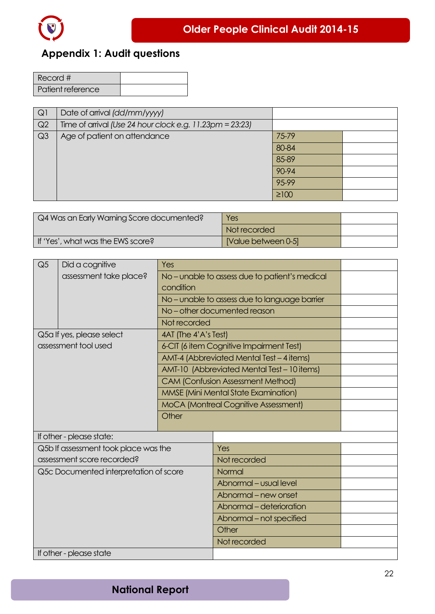

## <span id="page-21-0"></span>**Appendix 1: Audit questions**

| Record #          |  |
|-------------------|--|
| Patient reference |  |

| Q1             | Date of arrival (dd/mm/yyyy)                                |            |  |
|----------------|-------------------------------------------------------------|------------|--|
| Q2             | Time of arrival (Use 24 hour clock e.g. $11.23$ pm = 23:23) |            |  |
| Q <sub>3</sub> | Age of patient on attendance                                | 75-79      |  |
|                |                                                             | 80-84      |  |
|                |                                                             | 85-89      |  |
|                |                                                             | 90-94      |  |
|                |                                                             | 95-99      |  |
|                |                                                             | $\geq 100$ |  |

| Q4 Was an Early Warning Score documented? | <b>Yes</b>          |  |
|-------------------------------------------|---------------------|--|
|                                           | Not recorded        |  |
| If 'Yes', what was the EWS score?         | [Value between 0-5] |  |

| Q <sub>5</sub> | Did a cognitive                        | Yes                                            |                                             |  |  |
|----------------|----------------------------------------|------------------------------------------------|---------------------------------------------|--|--|
|                | assessment take place?                 | No - unable to assess due to patient's medical |                                             |  |  |
|                |                                        | condition                                      |                                             |  |  |
|                |                                        |                                                | No-unable to assess due to language barrier |  |  |
|                |                                        |                                                | No-other documented reason                  |  |  |
|                |                                        | Not recorded                                   |                                             |  |  |
|                | Q5a If yes, please select              | 4AT (The 4'A's Test)                           |                                             |  |  |
|                | assessment tool used                   |                                                | 6-CIT (6 item Cognitive Impairment Test)    |  |  |
|                |                                        |                                                | AMT-4 (Abbreviated Mental Test - 4 items)   |  |  |
|                |                                        |                                                | AMT-10 (Abbreviated Mental Test - 10 items) |  |  |
|                |                                        |                                                | <b>CAM (Confusion Assessment Method)</b>    |  |  |
|                |                                        |                                                | <b>MMSE (Mini Mental State Examination)</b> |  |  |
|                |                                        | MoCA (Montreal Cognitive Assessment)           |                                             |  |  |
|                |                                        | Other                                          |                                             |  |  |
|                |                                        |                                                |                                             |  |  |
|                | If other - please state:               |                                                |                                             |  |  |
|                | Q5b If assessment took place was the   |                                                | Yes                                         |  |  |
|                | assessment score recorded?             |                                                | Not recorded                                |  |  |
|                | Q5c Documented interpretation of score |                                                | Normal                                      |  |  |
|                |                                        |                                                | Abnormal - usual level                      |  |  |
|                |                                        |                                                | Abnormal - new onset                        |  |  |
|                |                                        |                                                | Abnormal - deterioration                    |  |  |
|                |                                        |                                                | Abnormal – not specified                    |  |  |
|                |                                        |                                                | Other                                       |  |  |
|                |                                        |                                                | Not recorded                                |  |  |
|                | If other - please state                |                                                |                                             |  |  |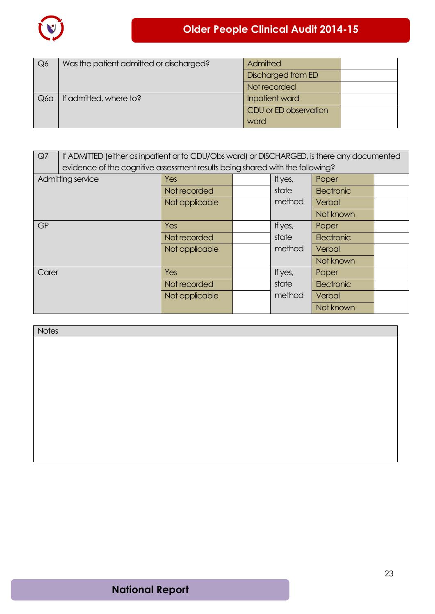

| Q6  | Was the patient admitted or discharged? | Admitted              |  |
|-----|-----------------------------------------|-----------------------|--|
|     |                                         | Discharged from ED    |  |
|     |                                         | Not recorded          |  |
| Q6q | If admitted, where to?                  | Inpatient ward        |  |
|     |                                         | CDU or ED observation |  |
|     |                                         | ward                  |  |

| Q7    | If ADMITTED (either as inpatient or to CDU/Obs ward) or DISCHARGED, is there any documented |                |  |         |            |  |
|-------|---------------------------------------------------------------------------------------------|----------------|--|---------|------------|--|
|       | evidence of the cognitive assessment results being shared with the following?               |                |  |         |            |  |
|       | Admitting service                                                                           | Yes            |  | If yes, | Paper      |  |
|       |                                                                                             | Not recorded   |  | state   | Electronic |  |
|       |                                                                                             | Not applicable |  | method  | Verbal     |  |
|       |                                                                                             |                |  |         | Not known  |  |
| GP    |                                                                                             | Yes            |  | If yes, | Paper      |  |
|       |                                                                                             | Not recorded   |  | state   | Electronic |  |
|       |                                                                                             | Not applicable |  | method  | Verbal     |  |
|       |                                                                                             |                |  |         | Not known  |  |
| Carer |                                                                                             | Yes            |  | If yes, | Paper      |  |
|       |                                                                                             | Not recorded   |  | state   | Electronic |  |
|       |                                                                                             | Not applicable |  | method  | Verbal     |  |
|       |                                                                                             |                |  |         | Not known  |  |

| <b>Notes</b> |  |
|--------------|--|
|              |  |
|              |  |
|              |  |
|              |  |
|              |  |
|              |  |
|              |  |
|              |  |
|              |  |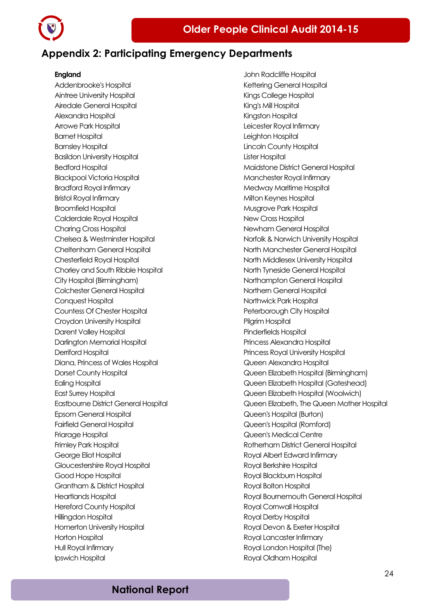

### <span id="page-23-0"></span>**Appendix 2: Participating Emergency Departments**

#### **England**

Addenbrooke's Hospital Aintree University Hospital Airedale General Hospital Alexandra Hospital Arrowe Park Hospital Barnet Hospital Barnsley Hospital Basildon University Hospital Bedford Hospital Blackpool Victoria Hospital Bradford Royal Infirmary Bristol Royal Infirmary Broomfield Hospital Calderdale Royal Hospital Charing Cross Hospital Chelsea & Westminster Hospital Cheltenham General Hospital Chesterfield Royal Hospital Chorley and South Ribble Hospital City Hospital (Birmingham) Colchester General Hospital Conquest Hospital Countess Of Chester Hospital Croydon University Hospital Darent Valley Hospital Darlington Memorial Hospital Derriford Hospital Diana, Princess of Wales Hospital Dorset County Hospital Ealing Hospital East Surrey Hospital Eastbourne District General Hospital Epsom General Hospital Fairfield General Hospital Friarage Hospital Frimley Park Hospital George Eliot Hospital Gloucestershire Royal Hospital Good Hope Hospital Grantham & District Hospital Heartlands Hospital Hereford County Hospital Hillingdon Hospital Homerton University Hospital Horton Hospital Hull Royal Infirmary Ipswich Hospital

John Radcliffe Hospital Kettering General Hospital Kings College Hospital King's Mill Hospital Kingston Hospital Leicester Royal Infirmary Leighton Hospital Lincoln County Hospital Lister Hospital Maidstone District General Hospital Manchester Royal Infirmary Medway Maritime Hospital Milton Keynes Hospital Musgrove Park Hospital New Cross Hospital Newham General Hospital Norfolk & Norwich University Hospital North Manchester General Hospital North Middlesex University Hospital North Tyneside General Hospital Northampton General Hospital Northern General Hospital Northwick Park Hospital Peterborough City Hospital Pilgrim Hospital Pinderfields Hospital Princess Alexandra Hospital Princess Royal University Hospital Queen Alexandra Hospital Queen Elizabeth Hospital (Birmingham) Queen Elizabeth Hospital (Gateshead) Queen Elizabeth Hospital (Woolwich) Queen Elizabeth, The Queen Mother Hospital Queen's Hospital (Burton) Queen's Hospital (Romford) Queen's Medical Centre Rotherham District General Hospital Royal Albert Edward Infirmary Royal Berkshire Hospital Royal Blackburn Hospital Royal Bolton Hospital Royal Bournemouth General Hospital Royal Cornwall Hospital Royal Derby Hospital Royal Devon & Exeter Hospital Royal Lancaster Infirmary Royal London Hospital (The) Royal Oldham Hospital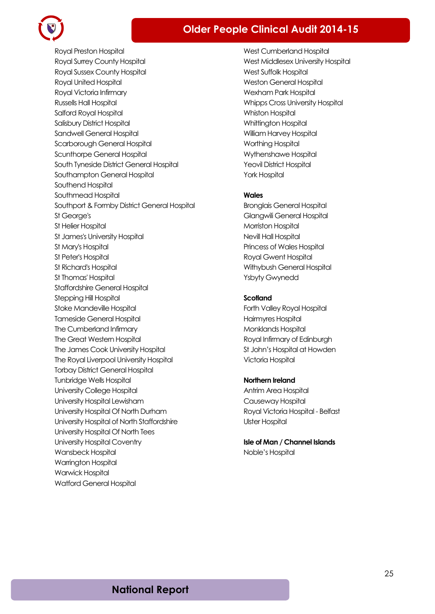### **Older People Clinical Audit 2014-15**



Royal Preston Hospital Royal Surrey County Hospital Royal Sussex County Hospital Royal United Hospital Royal Victoria Infirmary Russells Hall Hospital Salford Royal Hospital Salisbury District Hospital Sandwell General Hospital Scarborough General Hospital Scunthorpe General Hospital South Tyneside District General Hospital Southampton General Hospital Southend Hospital Southmead Hospital Southport & Formby District General Hospital St George's St Helier Hospital St James's University Hospital St Mary's Hospital St Peter's Hospital St Richard's Hospital St Thomas' Hospital Staffordshire General Hospital Stepping Hill Hospital Stoke Mandeville Hospital Tameside General Hospital The Cumberland Infirmary The Great Western Hospital The James Cook University Hospital The Royal Liverpool University Hospital Torbay District General Hospital Tunbridge Wells Hospital University College Hospital University Hospital Lewisham University Hospital Of North Durham University Hospital of North Staffordshire University Hospital Of North Tees University Hospital Coventry Wansbeck Hospital Warrington Hospital Warwick Hospital Watford General Hospital

West Cumberland Hospital West Middlesex University Hospital West Suffolk Hospital Weston General Hospital Wexham Park Hospital Whipps Cross University Hospital Whiston Hospital Whittington Hospital William Harvey Hospital Worthing Hospital Wythenshawe Hospital Yeovil District Hospital York Hospital

#### **Wales**

Bronglais General Hospital Glangwili General Hospital **Morriston Hospital** Nevill Hall Hospital Princess of Wales Hospital Royal Gwent Hospital Withybush General Hospital Ysbyty Gwynedd

#### **Scotland**

Forth Valley Royal Hospital Hairmyres Hospital Monklands Hospital Royal Infirmary of Edinburgh St John's Hospital at Howden Victoria Hospital

#### **Northern Ireland**

Antrim Area Hospital Causeway Hospital Royal Victoria Hospital - Belfast Ulster Hospital

**Isle of Man / Channel Islands** Noble's Hospital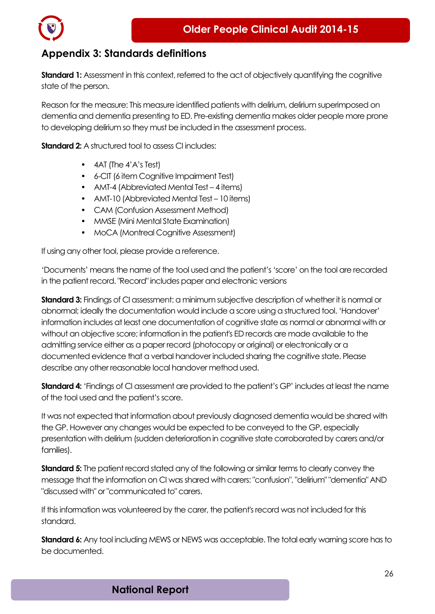

### <span id="page-25-0"></span>**Appendix 3: Standards definitions**

**Standard 1:** Assessment in this context, referred to the act of objectively quantifying the cognitive state of the person.

Reason for the measure: This measure identified patients with delirium, delirium superimposed on dementia and dementia presenting to ED. Pre-existing dementia makes older people more prone to developing delirium so they must be included in the assessment process.

**Standard 2:** A structured tool to assess CL includes:

- 4AT (The 4'A's Test)
- 6-CIT (6 item Cognitive Impairment Test)
- AMT-4 (Abbreviated Mental Test 4 items)
- AMT-10 (Abbreviated Mental Test 10 items)
- CAM (Confusion Assessment Method)
- MMSE (Mini Mental State Examination)
- MoCA (Montreal Cognitive Assessment)

If using any other tool, please provide a reference.

'Documents' means the name of the tool used and the patient's 'score' on the tool are recorded in the patient record. "Record" includes paper and electronic versions

**Standard 3:** Findings of CI assessment: a minimum subjective description of whether it is normal or abnormal; ideally the documentation would include a score using a structured tool. 'Handover' information includes at least one documentation of cognitive state as normal or abnormal with or without an objective score; information in the patient's ED records are made available to the admitting service either as a paper record (photocopy or original) or electronically or a documented evidence that a verbal handover included sharing the cognitive state. Please describe any other reasonable local handover method used.

**Standard 4:** 'Findings of CI assessment are provided to the patient's GP' includes at least the name of the tool used and the patient's score.

It was not expected that information about previously diagnosed dementia would be shared with the GP. However any changes would be expected to be conveyed to the GP, especially presentation with delirium (sudden deterioration in cognitive state corroborated by carers and/or families).

**Standard 5:** The patient record stated any of the following or similar terms to clearly convey the message that the information on CI was shared with carers: "confusion", "delirium" "dementia" AND "discussed with" or "communicated to" carers.

If this information was volunteered by the carer, the patient's record was not included for this standard.

**Standard 6:** Any tool including MEWS or NEWS was acceptable. The total early warning score has to be documented.